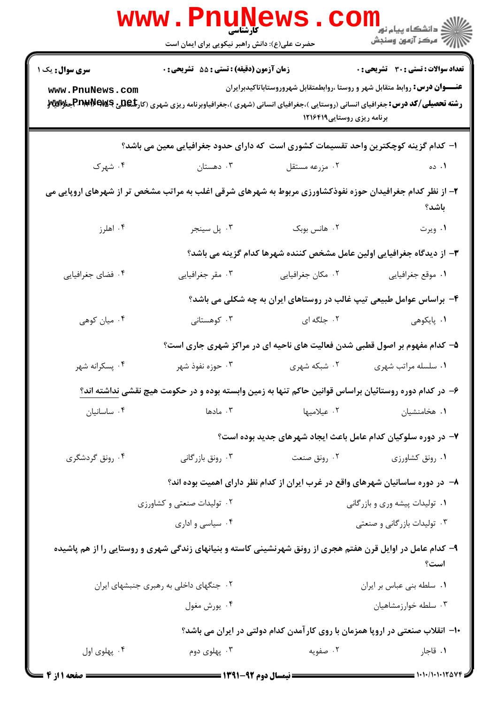|                                                                                                                    | <b>www.PnuNews</b><br><b>۔ کارشناسی</b>                                                                                                                                                                                                                                  |                                |                                                                            |  |  |  |
|--------------------------------------------------------------------------------------------------------------------|--------------------------------------------------------------------------------------------------------------------------------------------------------------------------------------------------------------------------------------------------------------------------|--------------------------------|----------------------------------------------------------------------------|--|--|--|
|                                                                                                                    | حضرت علی(ع): دانش راهبر نیکویی برای ایمان است                                                                                                                                                                                                                            |                                |                                                                            |  |  |  |
| سری سوال: یک ۱                                                                                                     | زمان آزمون (دقیقه) : تستی : 55 آتشریحی : 0                                                                                                                                                                                                                               |                                | <b>تعداد سوالات : تستی : 30 ٪ تشریحی : 0</b>                               |  |  |  |
| www.PnuNews.com                                                                                                    | <b>عنــــوان درس:</b> روابط متقابل شهر و روستا ،روابطمتقابل شهروروستاباتاكيدبرايران<br><b>رشته تحصیلی/کد درس:</b> جغرافیای انسانی (روستایی )،جغرافیای انسانی (شهری )،جغرافیاوبرنامه ریزی شهری (کار <b>&amp;De و Prau Paws جنوالیلا</b> لا<br>برنامه ریزی روستایی ۱۲۱۶۴۱۹ |                                |                                                                            |  |  |  |
| ا– کدام گزینه کوچکترین واحد تقسیمات کشوری است که دارای حدود جغرافیایی معین می باشد؟                                |                                                                                                                                                                                                                                                                          |                                |                                                                            |  |  |  |
| ۰۴ شهرک                                                                                                            | ۰۳ دهستان                                                                                                                                                                                                                                                                | ۰۲ مزرعه مستقل                 | ۰۱ ده                                                                      |  |  |  |
| ۲- از نظر کدام جغرافیدان حوزه نفوذکشاورزی مربوط به شهرهای شرقی اغلب به مراتب مشخص تر از شهرهای اروپایی می<br>باشد؟ |                                                                                                                                                                                                                                                                          |                                |                                                                            |  |  |  |
| ۰۴ اهلرز                                                                                                           | ۰۳ پل سينجر                                                                                                                                                                                                                                                              | ۰۲ هانس بوبک                   | ۰۱ ویرت                                                                    |  |  |  |
|                                                                                                                    |                                                                                                                                                                                                                                                                          |                                | ۳- از دیدگاه جغرافیایی اولین عامل مشخص کننده شهرها کدام گزینه می باشد؟     |  |  |  |
| ۰۴ فضای جغرافیایی                                                                                                  | ۰۳ مقر جغرافیایی                                                                                                                                                                                                                                                         | ۲. مکان جغرافیایی              | ۰۱ موقع جغرافیایی                                                          |  |  |  |
|                                                                                                                    |                                                                                                                                                                                                                                                                          |                                | ۴- براساس عوامل طبیعی تیپ غالب در روستاهای ایران به چه شکلی می باشد؟       |  |  |  |
| ۰۴ میان کوهی                                                                                                       | ۰۳ کوهستانی                                                                                                                                                                                                                                                              | ۰۲ جلگه ای                     | ۰۱ پایکوهی                                                                 |  |  |  |
|                                                                                                                    |                                                                                                                                                                                                                                                                          |                                | ۵– کدام مفهوم بر اصول قطبی شدن فعالیت های ناحیه ای در مراکز شهری جاری است؟ |  |  |  |
| ۰۴ پسکرانه شهر                                                                                                     | ۰۳ حوزه نفوذ شهر                                                                                                                                                                                                                                                         | ۰۲ شبکه شهری                   | ۰۱ سلسله مراتب شهری                                                        |  |  |  |
|                                                                                                                    | ۶– در کدام دوره روستائیان براساس قوانین حاکم تنها به زمین وابسته بوده و در حکومت هیچ نقشی نداشته اند؟                                                                                                                                                                    |                                |                                                                            |  |  |  |
| ۰۴ ساسانیان                                                                                                        | ۰۳ مادها                                                                                                                                                                                                                                                                 | ۰۲ عیلامیها                    | ۰۱ هخامنشیان                                                               |  |  |  |
| ۷– در دوره سلوکیان کدام عامل باعث ایجاد شهرهای جدید بوده است؟                                                      |                                                                                                                                                                                                                                                                          |                                |                                                                            |  |  |  |
| ۰۴ رونق گردشگری                                                                                                    | ۰۳ رونق بازرگانی                                                                                                                                                                                                                                                         | ۰۲ رونق صنعت                   | ۰۱ رونق کشاورزی                                                            |  |  |  |
| ۸– در دوره ساسانیان شهرهای واقع در غرب ایران از کدام نظر دارای اهمیت بوده اند؟                                     |                                                                                                                                                                                                                                                                          |                                |                                                                            |  |  |  |
| ۰۲ تولیدات صنعتی و کشاورزی                                                                                         |                                                                                                                                                                                                                                                                          | ۰۱ تولیدات پیشه وری و بازرگانی |                                                                            |  |  |  |
| ۰۴ سیاسی و اداری                                                                                                   |                                                                                                                                                                                                                                                                          |                                | ۰۳ تولیدات بازرگانی و صنعتی                                                |  |  |  |
|                                                                                                                    | ۹- کدام عامل در اوایل قرن هفتم هجری از رونق شهرنشینی کاسته و بنیانهای زندگی شهری و روستایی را از هم پاشیده                                                                                                                                                               |                                | است؟                                                                       |  |  |  |
| ۰۲ جنگهای داخلی به رهبری جنبشهای ایران                                                                             |                                                                                                                                                                                                                                                                          |                                | ٠١. سلطه بني عباس بر ايران                                                 |  |  |  |
|                                                                                                                    | ۰۴ يورش مغول                                                                                                                                                                                                                                                             |                                | ۰۳ سلطه خوارزمشاهيان                                                       |  |  |  |
|                                                                                                                    | ∙۱− انقلاب صنعتی در اروپا همزمان با روی کارآمدن کدام دولتی در ایران می باشد؟                                                                                                                                                                                             |                                |                                                                            |  |  |  |
| ۰۴ پهلوي اول                                                                                                       | ۰۳ پهلوی دوم                                                                                                                                                                                                                                                             | ۰۲ صفویه                       | ۰۱ قاجار                                                                   |  |  |  |
| = صفحه ۱ از ۴                                                                                                      |                                                                                                                                                                                                                                                                          |                                |                                                                            |  |  |  |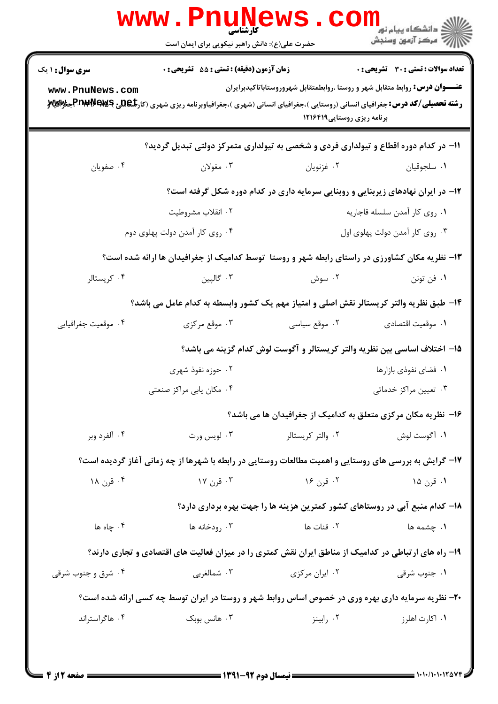| <b>تعداد سوالات : تستی : 30 ٪ تشریحی : 0</b>                                        |                                | زمان آزمون (دقیقه) : تستی : 55 تشریحی : 0                                                                                                          | <b>سری سوال : ۱ یک</b> |
|-------------------------------------------------------------------------------------|--------------------------------|----------------------------------------------------------------------------------------------------------------------------------------------------|------------------------|
| <b>عنـــوان درس :</b> روابط متقابل شهر و روستا ،روابطمتقابل شهروروستاباتاكيدبرايران | برنامه ریزی روستایی ۱۲۱۶۴۱۹    | <b>رشته تحصیلی/کد درس:</b> جغرافیای انسانی (روستایی )،جغرافیای انسانی (شهری )،جغرافیاوبرنامه ریزی شهری (کار <b>&amp;De و Prau Pews جنوالیلا</b> لا | www.PnuNews.com        |
|                                                                                     |                                | 1۱– در کدام دوره اقطاع و تیولداری فردی و شخصی به تیولداری متمرکز دولتی تبدیل گردید؟                                                                |                        |
| ٠١ سلجوقيان                                                                         | ۰۲ غزنویان                     | ۰۳ مغولان                                                                                                                                          | ۰۴ صفويان              |
| ۱۲- در ایران نهادهای زیربنایی و روبنایی سرمایه داری در کدام دوره شکل گرفته است؟     |                                |                                                                                                                                                    |                        |
| ٠١ روى كار أمدن سلسله قاجاريه                                                       |                                | ۰۲ انقلاب مشروطيت                                                                                                                                  |                        |
| ۰۳ روی کار آمدن دولت پهلوی اول                                                      | ۰۴ روی کار آمدن دولت پهلوی دوم |                                                                                                                                                    |                        |
|                                                                                     |                                | ۱۳- نظریه مکان کشاورزی در راستای رابطه شهر و روستا توسط کدامیک از جغرافیدان ها ارائه شده است؟                                                      |                        |
| ٠١. فن تونن                                                                         | ۰۲ سوش                         | ۰۳ گالپین                                                                                                                                          | ۰۴ کریستالر            |
|                                                                                     |                                | ۱۴– طبق نظریه والتر کریستالر نقش اصلی و امتیاز مهم یک کشور وابسطه به کدام عامل می باشد؟                                                            |                        |
| ٠١ موقعيت اقتصادي                                                                   | ۰۲ موقع سیاسی                  | ۰۳ موقع مرکزی                                                                                                                                      | ۰۴ موقعیت جغرافیایی    |
| ۱۵– اختلاف اساسی بین نظریه والتر کریستالر و آگوست لوش کدام گزینه می باشد؟           |                                |                                                                                                                                                    |                        |
| ۰۱ فضای نفوذی بازارها                                                               |                                | ۰۲ حوزه نفوذ شهری                                                                                                                                  |                        |
| ۰۳ تعیین مراکز خدماتی                                                               |                                | ۰۴ مکان پابی مراکز صنعتی                                                                                                                           |                        |
| ۱۶– نظریه مکان مرکزی متعلق به کدامیک از جغرافیدان ها می باشد؟                       |                                |                                                                                                                                                    |                        |
| ۰۱ آگوست لوش                                                                        | ۰۲ والتر کریستالر              | ۰۳ لويس ورت                                                                                                                                        | ۰۴ آلفرد وبر           |
|                                                                                     |                                | ۱۷- گرایش به بررسی های روستایی و اهمیت مطالعات روستایی در رابطه با شهرها از چه زمانی آغاز گردیده است؟                                              |                        |
| ۱. قرن ۱۵                                                                           | ۰۲ قرن ۱۶                      | ۰۳ قرن ۱۷                                                                                                                                          | ۰۴ قرن ۱۸              |
| ۱۸– کدام منبع آبی در روستاهای کشور کمترین هزینه ها را جهت بهره برداری دارد؟         |                                |                                                                                                                                                    |                        |
| ۰۱ چشمه ها                                                                          | ۰۲ قنات ها                     | ۰۳ رودخانه ها                                                                                                                                      | ۰۴ چاه ها              |
|                                                                                     |                                | ۱۹- راه های ارتباطی در کدامیک از مناطق ایران نقش کمتری را در میزان فعالیت های اقتصادی و تجاری دارند؟                                               |                        |
| ۰۱ جنوب شرقی                                                                        | ۰۲ ایران مرکزی                 | ۰۳ شمالغربي                                                                                                                                        | ۰۴ شرق و جنوب شرقی     |
|                                                                                     |                                | ۲۰- نظریه سرمایه داری بهره وری در خصوص اساس روابط شهر و روستا در ایران توسط چه کسی ارائه شده است؟                                                  |                        |
| ۰۱ اکارت اهلرز                                                                      | ۰۲ رابینز                      | ۰۳ هانس بوبک                                                                                                                                       | ۰۴ هاگراستراند         |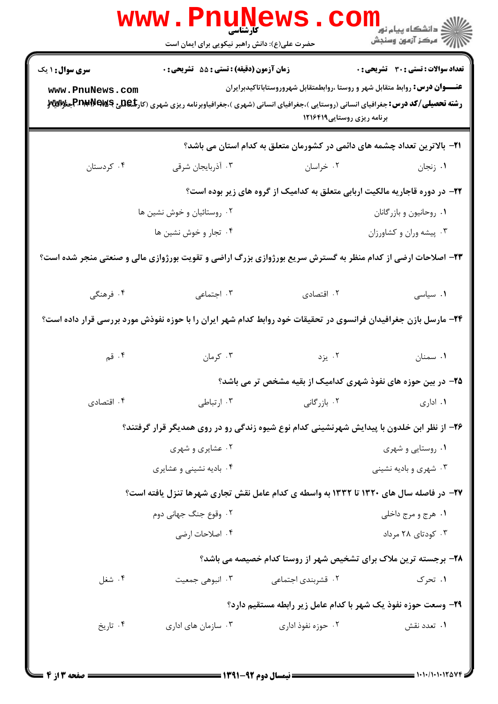|                                                                                                                 | <b>WWW . PNUNET</b><br><b>کارشناسی</b><br>حضرت علی(ع): دانش راهبر نیکویی برای ایمان است                                                      |                                                                                                                    | ر دانشڪاه پيام نور ■<br>اڳ مرڪز آزمون وسنڊش  |  |  |
|-----------------------------------------------------------------------------------------------------------------|----------------------------------------------------------------------------------------------------------------------------------------------|--------------------------------------------------------------------------------------------------------------------|----------------------------------------------|--|--|
| <b>سری سوال : ۱ یک</b>                                                                                          | زمان آزمون (دقیقه) : تستی : 55 آتشریحی : 0                                                                                                   |                                                                                                                    | <b>تعداد سوالات : تستی : 30 ٪ تشریحی : 0</b> |  |  |
| www.PnuNews.com                                                                                                 | <b>رشته تحصیلی/کد درس:</b> جغرافیای انسانی (روستایی )،جغرافیای انسانی (شهری )،جغرافیاوبرنامه ریزی شهری (کار <b>تگهلیج Pr)#Pr\$جنر Wi</b> y و | <b>عنــــوان درس:</b> روابط متقابل شهر و روستا ،روابطمتقابل شهروروستاباتاكيدبرايران<br>برنامه ریزی روستایی ۱۲۱۶۴۱۹ |                                              |  |  |
|                                                                                                                 |                                                                                                                                              | <b>ا۲</b> – بالاترین تعداد چشمه های دائمی در کشورمان متعلق به کدام استان می باشد؟                                  |                                              |  |  |
| ۰۴ کردستان                                                                                                      | ۰۳ آذربایجان شرقی                                                                                                                            | ۰۲ خراسان                                                                                                          | ۰۱ زنجان                                     |  |  |
| <b>۲۲</b> - در دوره قاجاریه مالکیت اربابی متعلق به کدامیک از گروه های زیر بوده است؟                             |                                                                                                                                              |                                                                                                                    |                                              |  |  |
| ۰۲ روستائیان و خوش نشین ها                                                                                      |                                                                                                                                              | ٠١. روحانيون وبازرگانان                                                                                            |                                              |  |  |
|                                                                                                                 | ۰۴ تجار و خوش نشین ها                                                                                                                        |                                                                                                                    | ۰۳ پیشه وران و کشاورزان                      |  |  |
| ۲۳- اصلاحات ارضی از کدام منظر به گسترش سریع بورژوازی بزرگ اراضی و تقویت بورژوازی مالی و صنعتی منجر شده است؟     |                                                                                                                                              |                                                                                                                    |                                              |  |  |
| ۰۴ فرهنگی                                                                                                       | ۰۳ اجتماعی                                                                                                                                   | ۰۲ اقتصادی                                                                                                         | ۰۱ سیاسی                                     |  |  |
| ۲۴- مارسل بازن جغرافیدان فرانسوی در تحقیقات خود روابط کدام شهر ایران را با حوزه نفوذش مورد بررسی قرار داده است؟ |                                                                                                                                              |                                                                                                                    |                                              |  |  |
| ۰۴ قم                                                                                                           | ۰۳ کرمان                                                                                                                                     | ۲. یزد                                                                                                             | ۰۱ سمنان                                     |  |  |
|                                                                                                                 | ۲۵– در بین حوزه های نفوذ شهری کدامیک از بقیه مشخص تر می باشد؟                                                                                |                                                                                                                    |                                              |  |  |
| ۰۴ اقتصادی                                                                                                      | ۰۳ ارتباطی                                                                                                                                   | ۰۲ بازرگانی                                                                                                        | ۰۱ اداری                                     |  |  |
|                                                                                                                 | ۲۶- از نظر ابن خلدون با پیدایش شهرنشینی کدام نوع شیوه زندگی رو در روی همدیگر قرار گرفتند؟                                                    |                                                                                                                    |                                              |  |  |
|                                                                                                                 | ۰۲ عشایری و شهری                                                                                                                             |                                                                                                                    | ۰۱ روستایی و شهری                            |  |  |
|                                                                                                                 | ۰۴ بادیه نشینی و عشایری                                                                                                                      |                                                                                                                    | ۰۳ شهری و بادیه نشینی                        |  |  |
| 37- در فاصله سال های ۱۳۲۰ تا ۱۳۳۲ به واسطه ی کدام عامل نقش تجاری شهرها تنزل یافته است؟                          |                                                                                                                                              |                                                                                                                    |                                              |  |  |
|                                                                                                                 | ۰۲ وقوع جنگ جهانی دوم                                                                                                                        |                                                                                                                    | ۰۱ هرج و مرج داخلي                           |  |  |
|                                                                                                                 | ۰۴ اصلاحات ارضی                                                                                                                              |                                                                                                                    | ۰۳ کودتای ۲۸ مرداد                           |  |  |
|                                                                                                                 |                                                                                                                                              | ۲۸- برجسته ترین ملاک برای تشخیص شهر از روستا کدام خصیصه می باشد؟                                                   |                                              |  |  |
| ۰۴ شغل                                                                                                          | ۰۳ انبوهي جمعيت                                                                                                                              | ۰۲ قشربندی اجتما <i>ع</i> ی                                                                                        | ۰۱ تحرک                                      |  |  |
|                                                                                                                 | ۲۹- وسعت حوزه نفوذ یک شهر با کدام عامل زیر رابطه مستقیم دارد؟                                                                                |                                                                                                                    |                                              |  |  |
| ۰۴ تاریخ                                                                                                        | ۰۳ سازمان های اداری                                                                                                                          | ۰۲ حوزه نفوذ اداری                                                                                                 | ۰۱ تعدد نقش                                  |  |  |
|                                                                                                                 |                                                                                                                                              |                                                                                                                    |                                              |  |  |

 $= 1.1 - 11.117$  av